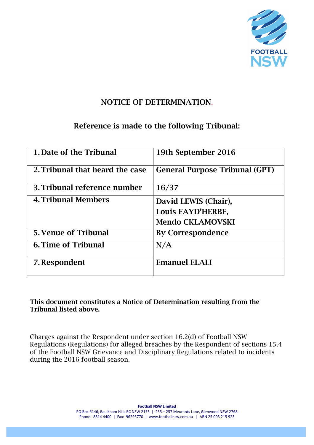

### NOTICE OF DETERMINATION.

# Reference is made to the following Tribunal:

| 1. Date of the Tribunal         | 19th September 2016                   |
|---------------------------------|---------------------------------------|
| 2. Tribunal that heard the case | <b>General Purpose Tribunal (GPT)</b> |
| 3. Tribunal reference number    | 16/37                                 |
| <b>4. Tribunal Members</b>      | David LEWIS (Chair),                  |
|                                 | Louis FAYD'HERBE,                     |
|                                 | <b>Mendo CKLAMOVSKI</b>               |
| <b>5. Venue of Tribunal</b>     | <b>By Correspondence</b>              |
| <b>6. Time of Tribunal</b>      | N/A                                   |
| 7. Respondent                   | <b>Emanuel ELALI</b>                  |

This document constitutes a Notice of Determination resulting from the Tribunal listed above.

Charges against the Respondent under section 16.2(d) of Football NSW Regulations (Regulations) for alleged breaches by the Respondent of sections 15.4 of the Football NSW Grievance and Disciplinary Regulations related to incidents during the 2016 football season.

**Football NSW Limited** 

PO Box 6146, Baulkham Hills BC NSW 2153 | 235 - 257 Meurants Lane, Glenwood NSW 2768 Phone: 8814 4400 | Fax: 96293770 | www.footballnsw.com.au | ABN 25 003 215 923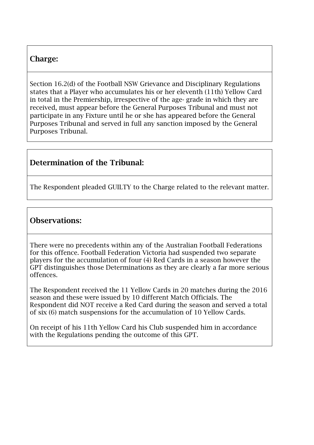#### Charge:

Section 16.2(d) of the Football NSW Grievance and Disciplinary Regulations states that a Player who accumulates his or her eleventh (11th) Yellow Card in total in the Premiership, irrespective of the age- grade in which they are received, must appear before the General Purposes Tribunal and must not participate in any Fixture until he or she has appeared before the General Purposes Tribunal and served in full any sanction imposed by the General Purposes Tribunal.

# Determination of the Tribunal:

The Respondent pleaded GUILTY to the Charge related to the relevant matter.

#### Observations:

There were no precedents within any of the Australian Football Federations for this offence. Football Federation Victoria had suspended two separate players for the accumulation of four (4) Red Cards in a season however the GPT distinguishes those Determinations as they are clearly a far more serious offences.

The Respondent received the 11 Yellow Cards in 20 matches during the 2016 season and these were issued by 10 different Match Officials. The Respondent did NOT receive a Red Card during the season and served a total of six (6) match suspensions for the accumulation of 10 Yellow Cards.

On receipt of his 11th Yellow Card his Club suspended him in accordance with the Regulations pending the outcome of this GPT.